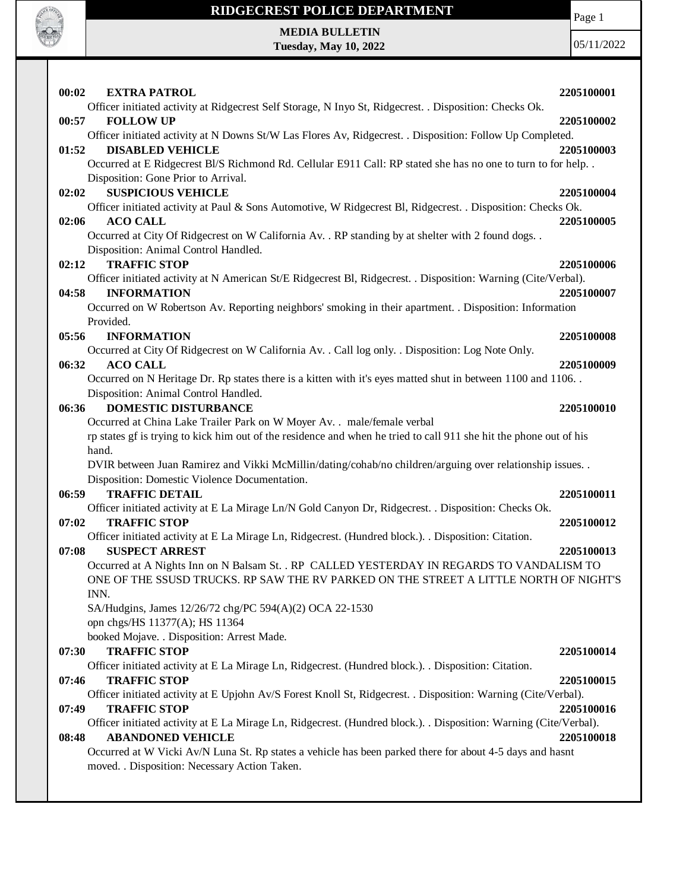

## **RIDGECREST POLICE DEPARTMENT**

Page 1

**MEDIA BULLETIN Tuesday, May 10, 2022**

| 00:02<br><b>EXTRA PATROL</b><br>Officer initiated activity at Ridgecrest Self Storage, N Inyo St, Ridgecrest. . Disposition: Checks Ok.     | 2205100001 |
|---------------------------------------------------------------------------------------------------------------------------------------------|------------|
| <b>FOLLOW UP</b><br>00:57                                                                                                                   | 2205100002 |
| Officer initiated activity at N Downs St/W Las Flores Av, Ridgecrest. . Disposition: Follow Up Completed.                                   |            |
| 01:52<br><b>DISABLED VEHICLE</b>                                                                                                            | 2205100003 |
| Occurred at E Ridgecrest Bl/S Richmond Rd. Cellular E911 Call: RP stated she has no one to turn to for help. .                              |            |
| Disposition: Gone Prior to Arrival.                                                                                                         |            |
| <b>SUSPICIOUS VEHICLE</b><br>02:02                                                                                                          | 2205100004 |
| Officer initiated activity at Paul & Sons Automotive, W Ridgecrest Bl, Ridgecrest. . Disposition: Checks Ok.                                |            |
| 02:06<br><b>ACO CALL</b>                                                                                                                    | 2205100005 |
| Occurred at City Of Ridgecrest on W California Av. . RP standing by at shelter with 2 found dogs. .<br>Disposition: Animal Control Handled. |            |
| <b>TRAFFIC STOP</b><br>02:12                                                                                                                | 2205100006 |
| Officer initiated activity at N American St/E Ridgecrest Bl, Ridgecrest. . Disposition: Warning (Cite/Verbal).                              |            |
| <b>INFORMATION</b><br>04:58                                                                                                                 | 2205100007 |
| Occurred on W Robertson Av. Reporting neighbors' smoking in their apartment. . Disposition: Information                                     |            |
| Provided.                                                                                                                                   |            |
| 05:56<br><b>INFORMATION</b>                                                                                                                 | 2205100008 |
| Occurred at City Of Ridgecrest on W California Av. . Call log only. . Disposition: Log Note Only.                                           |            |
| <b>ACO CALL</b><br>06:32                                                                                                                    | 2205100009 |
| Occurred on N Heritage Dr. Rp states there is a kitten with it's eyes matted shut in between 1100 and 1106                                  |            |
| Disposition: Animal Control Handled.                                                                                                        |            |
| <b>DOMESTIC DISTURBANCE</b><br>06:36                                                                                                        | 2205100010 |
| Occurred at China Lake Trailer Park on W Moyer Av. . male/female verbal                                                                     |            |
| rp states gf is trying to kick him out of the residence and when he tried to call 911 she hit the phone out of his                          |            |
| hand.                                                                                                                                       |            |
| DVIR between Juan Ramirez and Vikki McMillin/dating/cohab/no children/arguing over relationship issues. .                                   |            |
| Disposition: Domestic Violence Documentation.                                                                                               |            |
| 06:59<br><b>TRAFFIC DETAIL</b>                                                                                                              | 2205100011 |
| Officer initiated activity at E La Mirage Ln/N Gold Canyon Dr, Ridgecrest. . Disposition: Checks Ok.                                        |            |
| <b>TRAFFIC STOP</b><br>07:02                                                                                                                | 2205100012 |
| Officer initiated activity at E La Mirage Ln, Ridgecrest. (Hundred block.). . Disposition: Citation.                                        |            |
| <b>SUSPECT ARREST</b><br>07:08                                                                                                              | 2205100013 |
| Occurred at A Nights Inn on N Balsam St. . RP CALLED YESTERDAY IN REGARDS TO VANDALISM TO                                                   |            |
| ONE OF THE SSUSD TRUCKS. RP SAW THE RV PARKED ON THE STREET A LITTLE NORTH OF NIGHT'S                                                       |            |
| INN.                                                                                                                                        |            |
| SA/Hudgins, James 12/26/72 chg/PC 594(A)(2) OCA 22-1530                                                                                     |            |
| opn chgs/HS 11377(A); HS 11364                                                                                                              |            |
| booked Mojave. . Disposition: Arrest Made.<br><b>TRAFFIC STOP</b><br>07:30                                                                  | 2205100014 |
| Officer initiated activity at E La Mirage Ln, Ridgecrest. (Hundred block.). . Disposition: Citation.                                        |            |
| <b>TRAFFIC STOP</b><br>07:46                                                                                                                | 2205100015 |
| Officer initiated activity at E Upjohn Av/S Forest Knoll St, Ridgecrest. . Disposition: Warning (Cite/Verbal).                              |            |
| <b>TRAFFIC STOP</b><br>07:49                                                                                                                | 2205100016 |
| Officer initiated activity at E La Mirage Ln, Ridgecrest. (Hundred block.). Disposition: Warning (Cite/Verbal).                             |            |
| <b>ABANDONED VEHICLE</b><br>08:48                                                                                                           | 2205100018 |
| Occurred at W Vicki Av/N Luna St. Rp states a vehicle has been parked there for about 4-5 days and hasnt                                    |            |
| moved. . Disposition: Necessary Action Taken.                                                                                               |            |
|                                                                                                                                             |            |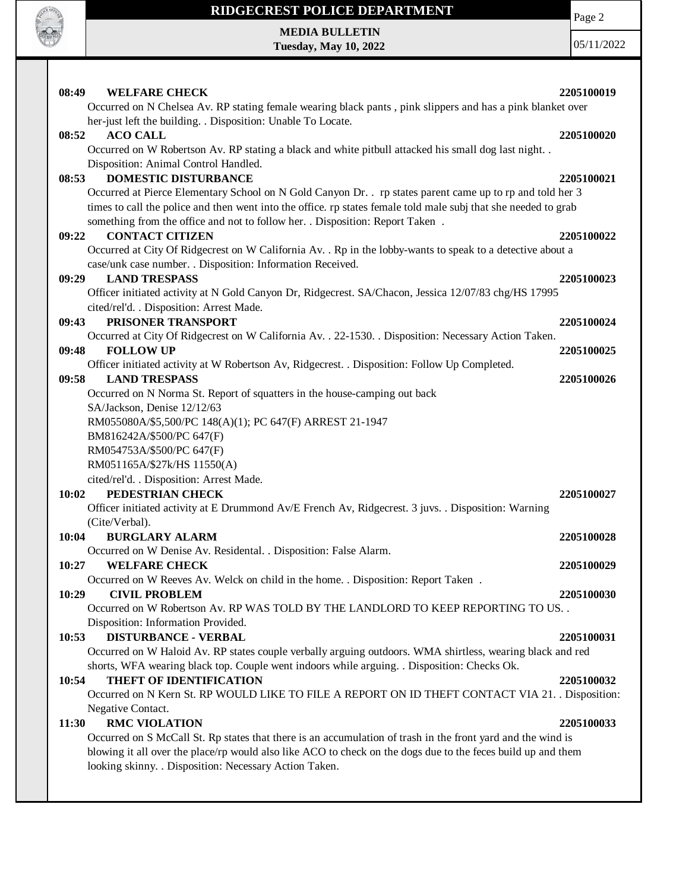

## **RIDGECREST POLICE DEPARTMENT MEDIA BULLETIN**

**Tuesday, May 10, 2022**

Page 2

| 08:49 | <b>WELFARE CHECK</b>                                                                                            | 2205100019 |
|-------|-----------------------------------------------------------------------------------------------------------------|------------|
|       | Occurred on N Chelsea Av. RP stating female wearing black pants, pink slippers and has a pink blanket over      |            |
|       | her-just left the building. . Disposition: Unable To Locate.                                                    |            |
| 08:52 | <b>ACO CALL</b>                                                                                                 | 2205100020 |
|       | Occurred on W Robertson Av. RP stating a black and white pitbull attacked his small dog last night. .           |            |
|       | Disposition: Animal Control Handled.                                                                            |            |
| 08:53 | <b>DOMESTIC DISTURBANCE</b>                                                                                     | 2205100021 |
|       | Occurred at Pierce Elementary School on N Gold Canyon Dr. . rp states parent came up to rp and told her 3       |            |
|       | times to call the police and then went into the office. rp states female told male subj that she needed to grab |            |
|       | something from the office and not to follow her. . Disposition: Report Taken .                                  |            |
| 09:22 | <b>CONTACT CITIZEN</b>                                                                                          | 2205100022 |
|       | Occurred at City Of Ridgecrest on W California Av. . Rp in the lobby-wants to speak to a detective about a      |            |
|       | case/unk case number. . Disposition: Information Received.                                                      |            |
| 09:29 | <b>LAND TRESPASS</b>                                                                                            | 2205100023 |
|       | Officer initiated activity at N Gold Canyon Dr, Ridgecrest. SA/Chacon, Jessica 12/07/83 chg/HS 17995            |            |
|       | cited/rel'd. . Disposition: Arrest Made.                                                                        |            |
| 09:43 | PRISONER TRANSPORT                                                                                              | 2205100024 |
|       | Occurred at City Of Ridgecrest on W California Av. . 22-1530. . Disposition: Necessary Action Taken.            |            |
| 09:48 | <b>FOLLOW UP</b>                                                                                                | 2205100025 |
|       | Officer initiated activity at W Robertson Av, Ridgecrest. . Disposition: Follow Up Completed.                   |            |
| 09:58 | <b>LAND TRESPASS</b>                                                                                            | 2205100026 |
|       | Occurred on N Norma St. Report of squatters in the house-camping out back                                       |            |
|       | SA/Jackson, Denise 12/12/63                                                                                     |            |
|       | RM055080A/\$5,500/PC 148(A)(1); PC 647(F) ARREST 21-1947                                                        |            |
|       | BM816242A/\$500/PC 647(F)                                                                                       |            |
|       | RM054753A/\$500/PC 647(F)                                                                                       |            |
|       | RM051165A/\$27k/HS 11550(A)                                                                                     |            |
| 10:02 | cited/rel'd. . Disposition: Arrest Made.<br>PEDESTRIAN CHECK                                                    | 2205100027 |
|       | Officer initiated activity at E Drummond Av/E French Av, Ridgecrest. 3 juvs. . Disposition: Warning             |            |
|       | (Cite/Verbal).                                                                                                  |            |
| 10:04 | <b>BURGLARY ALARM</b>                                                                                           | 2205100028 |
|       | Occurred on W Denise Av. Residental. . Disposition: False Alarm.                                                |            |
| 10:27 | <b>WELFARE CHECK</b>                                                                                            | 2205100029 |
|       | Occurred on W Reeves Av. Welck on child in the home. . Disposition: Report Taken                                |            |
| 10:29 | <b>CIVIL PROBLEM</b>                                                                                            | 2205100030 |
|       | Occurred on W Robertson Av. RP WAS TOLD BY THE LANDLORD TO KEEP REPORTING TO US. .                              |            |
|       | Disposition: Information Provided.                                                                              |            |
| 10:53 | <b>DISTURBANCE - VERBAL</b>                                                                                     | 2205100031 |
|       | Occurred on W Haloid Av. RP states couple verbally arguing outdoors. WMA shirtless, wearing black and red       |            |
|       | shorts, WFA wearing black top. Couple went indoors while arguing. . Disposition: Checks Ok.                     |            |
| 10:54 | <b>THEFT OF IDENTIFICATION</b>                                                                                  | 2205100032 |
|       | Occurred on N Kern St. RP WOULD LIKE TO FILE A REPORT ON ID THEFT CONTACT VIA 21. . Disposition:                |            |
|       | Negative Contact.                                                                                               |            |
| 11:30 | <b>RMC VIOLATION</b>                                                                                            | 2205100033 |
|       | Occurred on S McCall St. Rp states that there is an accumulation of trash in the front yard and the wind is     |            |
|       | blowing it all over the place/rp would also like ACO to check on the dogs due to the feces build up and them    |            |
|       | looking skinny. . Disposition: Necessary Action Taken.                                                          |            |
|       |                                                                                                                 |            |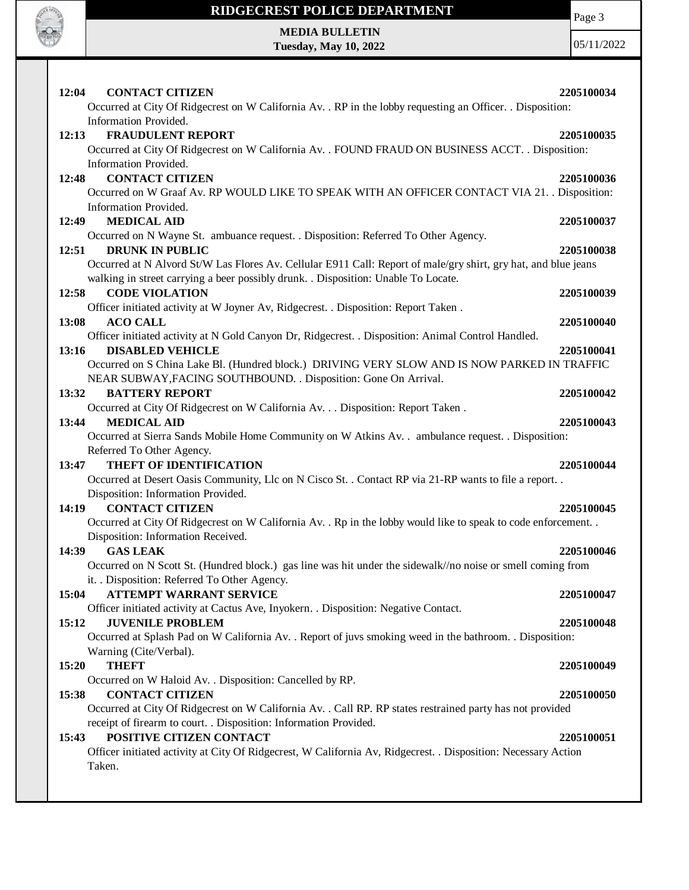

## **RIDGECREST POLICE DEPARTMENT MEDIA BULLETIN**

**Tuesday, May 10, 2022**

Page 3

| 12:04<br><b>CONTACT CITIZEN</b><br>Occurred at City Of Ridgecrest on W California Av. . RP in the lobby requesting an Officer. . Disposition:                                                                                        | 2205100034 |
|--------------------------------------------------------------------------------------------------------------------------------------------------------------------------------------------------------------------------------------|------------|
| Information Provided.<br><b>FRAUDULENT REPORT</b><br>12:13<br>Occurred at City Of Ridgecrest on W California Av. . FOUND FRAUD ON BUSINESS ACCT. . Disposition:                                                                      | 2205100035 |
| Information Provided.<br><b>CONTACT CITIZEN</b><br>12:48<br>Occurred on W Graaf Av. RP WOULD LIKE TO SPEAK WITH AN OFFICER CONTACT VIA 21. . Disposition:                                                                            | 2205100036 |
| Information Provided.<br><b>MEDICAL AID</b><br>12:49<br>Occurred on N Wayne St. ambuance request. . Disposition: Referred To Other Agency.                                                                                           | 2205100037 |
| <b>DRUNK IN PUBLIC</b><br>12:51<br>Occurred at N Alvord St/W Las Flores Av. Cellular E911 Call: Report of male/gry shirt, gry hat, and blue jeans                                                                                    | 2205100038 |
| walking in street carrying a beer possibly drunk. . Disposition: Unable To Locate.<br>12:58<br><b>CODE VIOLATION</b><br>Officer initiated activity at W Joyner Av, Ridgecrest. . Disposition: Report Taken.                          | 2205100039 |
| <b>ACO CALL</b><br>13:08<br>Officer initiated activity at N Gold Canyon Dr, Ridgecrest. . Disposition: Animal Control Handled.                                                                                                       | 2205100040 |
| <b>DISABLED VEHICLE</b><br>13:16<br>Occurred on S China Lake Bl. (Hundred block.) DRIVING VERY SLOW AND IS NOW PARKED IN TRAFFIC<br>NEAR SUBWAY, FACING SOUTHBOUND. . Disposition: Gone On Arrival.                                  | 2205100041 |
| <b>BATTERY REPORT</b><br>13:32<br>Occurred at City Of Ridgecrest on W California Av. Disposition: Report Taken .                                                                                                                     | 2205100042 |
| <b>MEDICAL AID</b><br>13:44<br>Occurred at Sierra Sands Mobile Home Community on W Atkins Av. . ambulance request. . Disposition:                                                                                                    | 2205100043 |
| Referred To Other Agency.<br>THEFT OF IDENTIFICATION<br>13:47<br>Occurred at Desert Oasis Community, Llc on N Cisco St. . Contact RP via 21-RP wants to file a report. .                                                             | 2205100044 |
| Disposition: Information Provided.<br>14:19<br><b>CONTACT CITIZEN</b><br>Occurred at City Of Ridgecrest on W California Av. . Rp in the lobby would like to speak to code enforcement. .                                             | 2205100045 |
| Disposition: Information Received.<br><b>GAS LEAK</b><br>14:39<br>Occurred on N Scott St. (Hundred block.) gas line was hit under the sidewalk//no noise or smell coming from                                                        | 2205100046 |
| it. . Disposition: Referred To Other Agency.<br>15:04<br><b>ATTEMPT WARRANT SERVICE</b>                                                                                                                                              | 2205100047 |
| Officer initiated activity at Cactus Ave, Inyokern. . Disposition: Negative Contact.<br>15:12<br><b>JUVENILE PROBLEM</b><br>Occurred at Splash Pad on W California Av. . Report of juvs smoking weed in the bathroom. . Disposition: | 2205100048 |
| Warning (Cite/Verbal).<br>15:20<br><b>THEFT</b><br>Occurred on W Haloid Av. . Disposition: Cancelled by RP.                                                                                                                          | 2205100049 |
| <b>CONTACT CITIZEN</b><br>15:38<br>Occurred at City Of Ridgecrest on W California Av. . Call RP. RP states restrained party has not provided                                                                                         | 2205100050 |
| receipt of firearm to court. . Disposition: Information Provided.<br>POSITIVE CITIZEN CONTACT<br>15:43<br>Officer initiated activity at City Of Ridgecrest, W California Av, Ridgecrest. . Disposition: Necessary Action<br>Taken.   | 2205100051 |